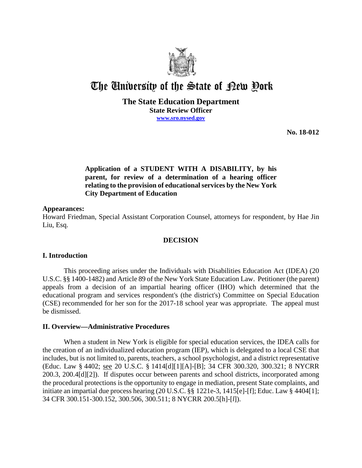

# The University of the State of Pew Pork

## **The State Education Department State Review Officer [www.sro.nysed.gov](http://www.sro.nysed.gov/)**

**No. 18-012**

# **Application of a STUDENT WITH A DISABILITY, by his parent, for review of a determination of a hearing officer relating to the provision of educational services by the New York City Department of Education**

## **Appearances:**

Howard Friedman, Special Assistant Corporation Counsel, attorneys for respondent, by Hae Jin Liu, Esq.

## **DECISION**

## **I. Introduction**

This proceeding arises under the Individuals with Disabilities Education Act (IDEA) (20 U.S.C. §§ 1400-1482) and Article 89 of the New York State Education Law. Petitioner (the parent) appeals from a decision of an impartial hearing officer (IHO) which determined that the educational program and services respondent's (the district's) Committee on Special Education (CSE) recommended for her son for the 2017-18 school year was appropriate. The appeal must be dismissed.

## **II. Overview—Administrative Procedures**

When a student in New York is eligible for special education services, the IDEA calls for the creation of an individualized education program (IEP), which is delegated to a local CSE that includes, but is not limited to, parents, teachers, a school psychologist, and a district representative (Educ. Law § 4402; see 20 U.S.C. § 1414[d][1][A]-[B]; 34 CFR 300.320, 300.321; 8 NYCRR 200.3, 200.4[d][2]). If disputes occur between parents and school districts, incorporated among the procedural protections is the opportunity to engage in mediation, present State complaints, and initiate an impartial due process hearing (20 U.S.C. §§ 1221e-3, 1415[e]-[f]; Educ. Law § 4404[1]; 34 CFR 300.151-300.152, 300.506, 300.511; 8 NYCRR 200.5[h]-[*l*]).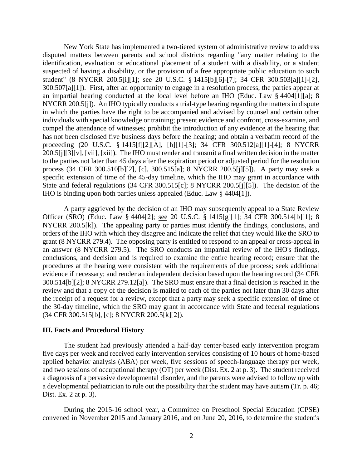New York State has implemented a two-tiered system of administrative review to address disputed matters between parents and school districts regarding "any matter relating to the identification, evaluation or educational placement of a student with a disability, or a student suspected of having a disability, or the provision of a free appropriate public education to such student" (8 NYCRR 200.5[i][1]; see 20 U.S.C. § 1415[b][6]-[7]; 34 CFR 300.503[a][1]-[2], 300.507[a][1]). First, after an opportunity to engage in a resolution process, the parties appear at an impartial hearing conducted at the local level before an IHO (Educ. Law § 4404[1][a]; 8 NYCRR 200.5[j]). An IHO typically conducts a trial-type hearing regarding the matters in dispute in which the parties have the right to be accompanied and advised by counsel and certain other individuals with special knowledge or training; present evidence and confront, cross-examine, and compel the attendance of witnesses; prohibit the introduction of any evidence at the hearing that has not been disclosed five business days before the hearing; and obtain a verbatim record of the proceeding (20 U.S.C. § 1415[f][2][A], [h][1]-[3]; 34 CFR 300.512[a][1]-[4]; 8 NYCRR 200.5[j][3][v], [vii], [xii]). The IHO must render and transmit a final written decision in the matter to the parties not later than 45 days after the expiration period or adjusted period for the resolution process (34 CFR 300.510[b][2], [c], 300.515[a]; 8 NYCRR 200.5[j][5]). A party may seek a specific extension of time of the 45-day timeline, which the IHO may grant in accordance with State and federal regulations (34 CFR 300.515[c]; 8 NYCRR 200.5[j][5]). The decision of the IHO is binding upon both parties unless appealed (Educ. Law § 4404[1]).

A party aggrieved by the decision of an IHO may subsequently appeal to a State Review Officer (SRO) (Educ. Law § 4404[2]; see 20 U.S.C. § 1415[g][1]; 34 CFR 300.514[b][1]; 8 NYCRR 200.5[k]). The appealing party or parties must identify the findings, conclusions, and orders of the IHO with which they disagree and indicate the relief that they would like the SRO to grant (8 NYCRR 279.4). The opposing party is entitled to respond to an appeal or cross-appeal in an answer (8 NYCRR 279.5). The SRO conducts an impartial review of the IHO's findings, conclusions, and decision and is required to examine the entire hearing record; ensure that the procedures at the hearing were consistent with the requirements of due process; seek additional evidence if necessary; and render an independent decision based upon the hearing record (34 CFR 300.514[b][2]; 8 NYCRR 279.12[a]). The SRO must ensure that a final decision is reached in the review and that a copy of the decision is mailed to each of the parties not later than 30 days after the receipt of a request for a review, except that a party may seek a specific extension of time of the 30-day timeline, which the SRO may grant in accordance with State and federal regulations (34 CFR 300.515[b], [c]; 8 NYCRR 200.5[k][2]).

#### **III. Facts and Procedural History**

The student had previously attended a half-day center-based early intervention program five days per week and received early intervention services consisting of 10 hours of home-based applied behavior analysis (ABA) per week, five sessions of speech-language therapy per week, and two sessions of occupational therapy (OT) per week (Dist. Ex. 2 at p. 3). The student received a diagnosis of a pervasive developmental disorder, and the parents were advised to follow up with a developmental pediatrician to rule out the possibility that the student may have autism (Tr. p. 46; Dist. Ex. 2 at p. 3).

During the 2015-16 school year, a Committee on Preschool Special Education (CPSE) convened in November 2015 and January 2016, and on June 20, 2016, to determine the student's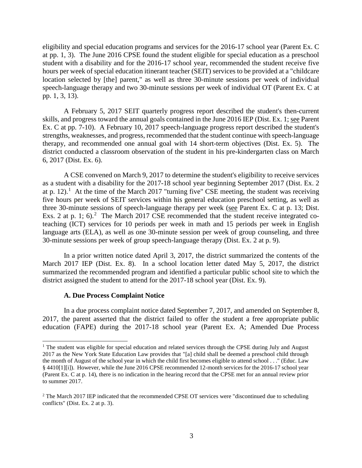eligibility and special education programs and services for the 2016-17 school year (Parent Ex. C at pp. 1, 3). The June 2016 CPSE found the student eligible for special education as a preschool student with a disability and for the 2016-17 school year, recommended the student receive five hours per week of special education itinerant teacher (SEIT) services to be provided at a "childcare location selected by [the] parent," as well as three 30-minute sessions per week of individual speech-language therapy and two 30-minute sessions per week of individual OT (Parent Ex. C at pp. 1, 3, 13).

A February 5, 2017 SEIT quarterly progress report described the student's then-current skills, and progress toward the annual goals contained in the June 2016 IEP (Dist. Ex. 1; see Parent Ex. C at pp. 7-10). A February 10, 2017 speech-language progress report described the student's strengths, weaknesses, and progress, recommended that the student continue with speech-language therapy, and recommended one annual goal with 14 short-term objectives (Dist. Ex. 5). The district conducted a classroom observation of the student in his pre-kindergarten class on March 6, 2017 (Dist. Ex. 6).

A CSE convened on March 9, 2017 to determine the student's eligibility to receive services as a student with a disability for the 2017-18 school year beginning September 2017 (Dist. Ex. 2 at p. [1](#page-2-0)2).<sup>1</sup> At the time of the March 2017 "turning five" CSE meeting, the student was receiving five hours per week of SEIT services within his general education preschool setting, as well as three 30-minute sessions of speech-language therapy per week (see Parent Ex. C at p. 13; Dist. Exs. [2](#page-2-1) at p. 1; 6).<sup>2</sup> The March 2017 CSE recommended that the student receive integrated coteaching (ICT) services for 10 periods per week in math and 15 periods per week in English language arts (ELA), as well as one 30-minute session per week of group counseling, and three 30-minute sessions per week of group speech-language therapy (Dist. Ex. 2 at p. 9).

In a prior written notice dated April 3, 2017, the district summarized the contents of the March 2017 IEP (Dist. Ex. 8). In a school location letter dated May 5, 2017, the district summarized the recommended program and identified a particular public school site to which the district assigned the student to attend for the 2017-18 school year (Dist. Ex. 9).

#### **A. Due Process Complaint Notice**

In a due process complaint notice dated September 7, 2017, and amended on September 8, 2017, the parent asserted that the district failed to offer the student a free appropriate public education (FAPE) during the 2017-18 school year (Parent Ex. A; Amended Due Process

<span id="page-2-0"></span><sup>&</sup>lt;sup>1</sup> The student was eligible for special education and related services through the CPSE during July and August 2017 as the New York State Education Law provides that "[a] child shall be deemed a preschool child through the month of August of the school year in which the child first becomes eligible to attend school . . ." (Educ. Law § 4410[1][i]). However, while the June 2016 CPSE recommended 12-month services for the 2016-17 school year (Parent Ex. C at p. 14), there is no indication in the hearing record that the CPSE met for an annual review prior to summer 2017.

<span id="page-2-1"></span><sup>&</sup>lt;sup>2</sup> The March 2017 IEP indicated that the recommended CPSE OT services were "discontinued due to scheduling conflicts" (Dist. Ex. 2 at p. 3).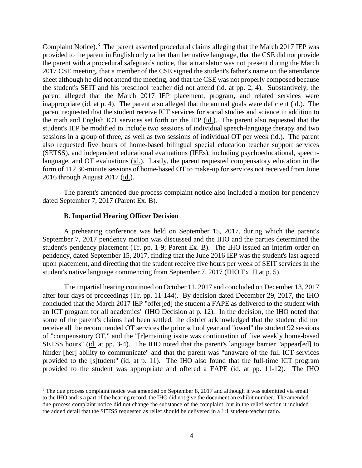Complaint Notice).<sup>[3](#page-3-0)</sup> The parent asserted procedural claims alleging that the March 2017 IEP was provided to the parent in English only rather than her native language, that the CSE did not provide the parent with a procedural safeguards notice, that a translator was not present during the March 2017 CSE meeting, that a member of the CSE signed the student's father's name on the attendance sheet although he did not attend the meeting, and that the CSE was not properly composed because the student's SEIT and his preschool teacher did not attend (id. at pp. 2, 4). Substantively, the parent alleged that the March 2017 IEP placement, program, and related services were inappropriate (id. at p. 4). The parent also alleged that the annual goals were deficient (id.). The parent requested that the student receive ICT services for social studies and science in addition to the math and English ICT services set forth on the IEP (id.). The parent also requested that the student's IEP be modified to include two sessions of individual speech-language therapy and two sessions in a group of three, as well as two sessions of individual OT per week (id.). The parent also requested five hours of home-based bilingual special education teacher support services (SETSS), and independent educational evaluations (IEEs), including psychoeducational, speechlanguage, and OT evaluations (id.). Lastly, the parent requested compensatory education in the form of 112 30-minute sessions of home-based OT to make-up for services not received from June 2016 through August 2017 (id.).

The parent's amended due process complaint notice also included a motion for pendency dated September 7, 2017 (Parent Ex. B).

#### **B. Impartial Hearing Officer Decision**

A prehearing conference was held on September 15, 2017, during which the parent's September 7, 2017 pendency motion was discussed and the IHO and the parties determined the student's pendency placement (Tr. pp. 1-9; Parent Ex. B). The IHO issued an interim order on pendency, dated September 15, 2017, finding that the June 2016 IEP was the student's last agreed upon placement, and directing that the student receive five hours per week of SEIT services in the student's native language commencing from September 7, 2017 (IHO Ex. II at p. 5).

The impartial hearing continued on October 11, 2017 and concluded on December 13, 2017 after four days of proceedings (Tr. pp. 11-144). By decision dated December 29, 2017, the IHO concluded that the March 2017 IEP "offer[ed] the student a FAPE as delivered to the student with an ICT program for all academics" (IHO Decision at p. 12). In the decision, the IHO noted that some of the parent's claims had been settled, the district acknowledged that the student did not receive all the recommended OT services the prior school year and "owed" the student 92 sessions of "compensatory OT," and the "[r]emaining issue was continuation of five weekly home-based SETSS hours" (id. at pp. 3-4). The IHO noted that the parent's language barrier "appear[ed] to hinder [her] ability to communicate" and that the parent was "unaware of the full ICT services provided to the [s]tudent" (id. at p. 11). The IHO also found that the full-time ICT program provided to the student was appropriate and offered a FAPE (id. at pp. 11-12). The IHO

<span id="page-3-0"></span><sup>&</sup>lt;sup>3</sup> The due process complaint notice was amended on September 8, 2017 and although it was submitted via email to the IHO and is a part of the hearing record, the IHO did not give the document an exhibit number. The amended due process complaint notice did not change the substance of the complaint, but in the relief section it included the added detail that the SETSS requested as relief should be delivered in a 1:1 student-teacher ratio.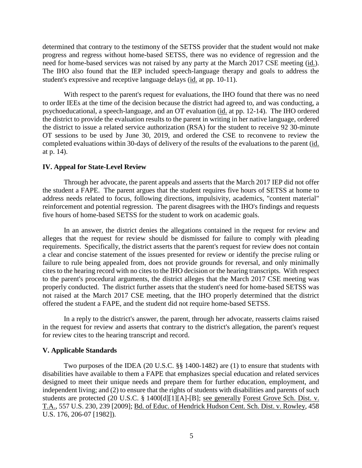determined that contrary to the testimony of the SETSS provider that the student would not make progress and regress without home-based SETSS, there was no evidence of regression and the need for home-based services was not raised by any party at the March 2017 CSE meeting (id.). The IHO also found that the IEP included speech-language therapy and goals to address the student's expressive and receptive language delays (id. at pp. 10-11).

With respect to the parent's request for evaluations, the IHO found that there was no need to order IEEs at the time of the decision because the district had agreed to, and was conducting, a psychoeducational, a speech-language, and an OT evaluation (id. at pp. 12-14). The IHO ordered the district to provide the evaluation results to the parent in writing in her native language, ordered the district to issue a related service authorization (RSA) for the student to receive 92 30-minute OT sessions to be used by June 30, 2019, and ordered the CSE to reconvene to review the completed evaluations within 30-days of delivery of the results of the evaluations to the parent (id. at p. 14).

#### **IV. Appeal for State-Level Review**

Through her advocate, the parent appeals and asserts that the March 2017 IEP did not offer the student a FAPE. The parent argues that the student requires five hours of SETSS at home to address needs related to focus, following directions, impulsivity, academics, "content material" reinforcement and potential regression. The parent disagrees with the IHO's findings and requests five hours of home-based SETSS for the student to work on academic goals.

In an answer, the district denies the allegations contained in the request for review and alleges that the request for review should be dismissed for failure to comply with pleading requirements. Specifically, the district asserts that the parent's request for review does not contain a clear and concise statement of the issues presented for review or identify the precise ruling or failure to rule being appealed from, does not provide grounds for reversal, and only minimally cites to the hearing record with no cites to the IHO decision or the hearing transcripts. With respect to the parent's procedural arguments, the district alleges that the March 2017 CSE meeting was properly conducted. The district further assets that the student's need for home-based SETSS was not raised at the March 2017 CSE meeting, that the IHO properly determined that the district offered the student a FAPE, and the student did not require home-based SETSS.

In a reply to the district's answer, the parent, through her advocate, reasserts claims raised in the request for review and asserts that contrary to the district's allegation, the parent's request for review cites to the hearing transcript and record.

#### **V. Applicable Standards**

Two purposes of the IDEA (20 U.S.C. §§ 1400-1482) are (1) to ensure that students with disabilities have available to them a FAPE that emphasizes special education and related services designed to meet their unique needs and prepare them for further education, employment, and independent living; and (2) to ensure that the rights of students with disabilities and parents of such students are protected (20 U.S.C. § 1400[d][1][A]-[B]; see generally Forest Grove Sch. Dist. v. T.A., 557 U.S. 230, 239 [2009]; Bd. of Educ. of Hendrick Hudson Cent. Sch. Dist. v. Rowley, 458 U.S. 176, 206-07 [1982]).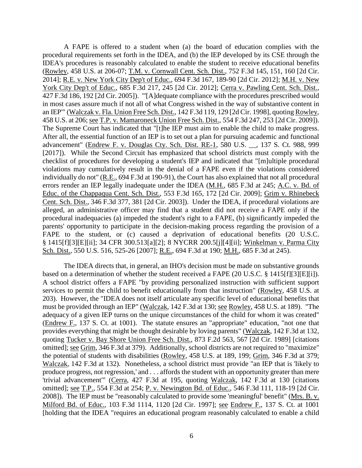A FAPE is offered to a student when (a) the board of education complies with the procedural requirements set forth in the IDEA, and (b) the IEP developed by its CSE through the IDEA's procedures is reasonably calculated to enable the student to receive educational benefits (Rowley, 458 U.S. at 206-07; T.M. v. Cornwall Cent. Sch. Dist., 752 F.3d 145, 151, 160 [2d Cir. 2014]; R.E. v. New York City Dep't of Educ., 694 F.3d 167, 189-90 [2d Cir. 2012]; M.H. v. New York City Dep't of Educ., 685 F.3d 217, 245 [2d Cir. 2012]; Cerra v. Pawling Cent. Sch. Dist., 427 F.3d 186, 192 [2d Cir. 2005]). "'[A]dequate compliance with the procedures prescribed would in most cases assure much if not all of what Congress wished in the way of substantive content in an IEP'" (Walczak v. Fla. Union Free Sch. Dist., 142 F.3d 119, 129 [2d Cir. 1998], quoting Rowley, 458 U.S. at 206; see T.P. v. Mamaroneck Union Free Sch. Dist., 554 F.3d 247, 253 [2d Cir. 2009]). The Supreme Court has indicated that "[t]he IEP must aim to enable the child to make progress. After all, the essential function of an IEP is to set out a plan for pursuing academic and functional advancement" (Endrew F. v. Douglas Cty. Sch. Dist. RE-1, 580 U.S. \_\_, 137 S. Ct. 988, 999 [2017]). While the Second Circuit has emphasized that school districts must comply with the checklist of procedures for developing a student's IEP and indicated that "[m]ultiple procedural violations may cumulatively result in the denial of a FAPE even if the violations considered individually do not" (R.E., 694 F.3d at 190-91), the Court has also explained that not all procedural errors render an IEP legally inadequate under the IDEA (M.H., 685 F.3d at 245; A.C. v. Bd. of Educ. of the Chappaqua Cent. Sch. Dist., 553 F.3d 165, 172 [2d Cir. 2009]; Grim v. Rhinebeck Cent. Sch. Dist., 346 F.3d 377, 381 [2d Cir. 2003]). Under the IDEA, if procedural violations are alleged, an administrative officer may find that a student did not receive a FAPE only if the procedural inadequacies (a) impeded the student's right to a FAPE, (b) significantly impeded the parents' opportunity to participate in the decision-making process regarding the provision of a FAPE to the student, or (c) caused a deprivation of educational benefits (20 U.S.C. § 1415[f][3][E][ii]; 34 CFR 300.513[a][2]; 8 NYCRR 200.5[j][4][ii]; Winkelman v. Parma City Sch. Dist., 550 U.S. 516, 525-26 [2007]; R.E., 694 F.3d at 190; M.H., 685 F.3d at 245).

The IDEA directs that, in general, an IHO's decision must be made on substantive grounds based on a determination of whether the student received a FAPE (20 U.S.C. § 1415[f][3][E][i]). A school district offers a FAPE "by providing personalized instruction with sufficient support services to permit the child to benefit educationally from that instruction" (Rowley, 458 U.S. at 203). However, the "IDEA does not itself articulate any specific level of educational benefits that must be provided through an IEP" (Walczak, 142 F.3d at 130; see Rowley, 458 U.S. at 189). "The adequacy of a given IEP turns on the unique circumstances of the child for whom it was created" (Endrew F., 137 S. Ct. at 1001). The statute ensures an "appropriate" education, "not one that provides everything that might be thought desirable by loving parents" (Walczak, 142 F.3d at 132, quoting Tucker v. Bay Shore Union Free Sch. Dist., 873 F.2d 563, 567 [2d Cir. 1989] [citations omitted]; see Grim, 346 F.3d at 379). Additionally, school districts are not required to "maximize" the potential of students with disabilities (Rowley, 458 U.S. at 189, 199; Grim, 346 F.3d at 379; Walczak, 142 F.3d at 132). Nonetheless, a school district must provide "an IEP that is 'likely to produce progress, not regression,' and . . . affords the student with an opportunity greater than mere 'trivial advancement'" (Cerra, 427 F.3d at 195, quoting Walczak, 142 F.3d at 130 [citations omitted]; see T.P., 554 F.3d at 254; P. v. Newington Bd. of Educ., 546 F.3d 111, 118-19 [2d Cir. 2008]). The IEP must be "reasonably calculated to provide some 'meaningful' benefit" (Mrs. B. v. Milford Bd. of Educ., 103 F.3d 1114, 1120 [2d Cir. 1997]; see Endrew F., 137 S. Ct. at 1001 [holding that the IDEA "requires an educational program reasonably calculated to enable a child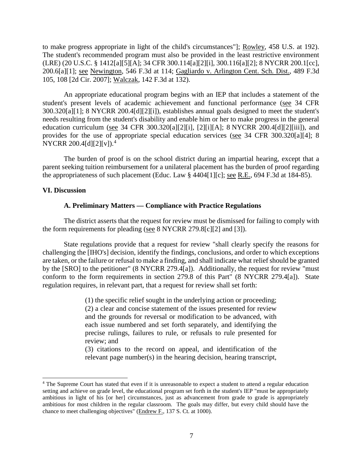to make progress appropriate in light of the child's circumstances"]; Rowley, 458 U.S. at 192). The student's recommended program must also be provided in the least restrictive environment (LRE) (20 U.S.C. § 1412[a][5][A]; 34 CFR 300.114[a][2][i], 300.116[a][2]; 8 NYCRR 200.1[cc], 200.6[a][1]; see Newington, 546 F.3d at 114; Gagliardo v. Arlington Cent. Sch. Dist., 489 F.3d 105, 108 [2d Cir. 2007]; Walczak, 142 F.3d at 132).

An appropriate educational program begins with an IEP that includes a statement of the student's present levels of academic achievement and functional performance (see 34 CFR 300.320[a][1]; 8 NYCRR 200.4[d][2][i]), establishes annual goals designed to meet the student's needs resulting from the student's disability and enable him or her to make progress in the general education curriculum (see 34 CFR 300.320[a][2][i], [2][i][A]; 8 NYCRR 200.4[d][2][iii]), and provides for the use of appropriate special education services (see 34 CFR 300.320[a][4]; 8 NYCRR 200.[4](#page-6-0)[d][2][v]).<sup>4</sup>

The burden of proof is on the school district during an impartial hearing, except that a parent seeking tuition reimbursement for a unilateral placement has the burden of proof regarding the appropriateness of such placement (Educ. Law § 4404[1][c]; see R.E., 694 F.3d at 184-85).

#### **VI. Discussion**

#### **A. Preliminary Matters — Compliance with Practice Regulations**

The district asserts that the request for review must be dismissed for failing to comply with the form requirements for pleading (see 8 NYCRR 279.8[c][2] and [3]).

State regulations provide that a request for review "shall clearly specify the reasons for challenging the [IHO's] decision, identify the findings, conclusions, and order to which exceptions are taken, or the failure or refusal to make a finding, and shall indicate what relief should be granted by the [SRO] to the petitioner" (8 NYCRR 279.4[a]). Additionally, the request for review "must conform to the form requirements in section 279.8 of this Part" (8 NYCRR 279.4[a]). State regulation requires, in relevant part, that a request for review shall set forth:

> (1) the specific relief sought in the underlying action or proceeding; (2) a clear and concise statement of the issues presented for review and the grounds for reversal or modification to be advanced, with each issue numbered and set forth separately, and identifying the precise rulings, failures to rule, or refusals to rule presented for review; and (3) citations to the record on appeal, and identification of the

> relevant page number(s) in the hearing decision, hearing transcript,

<span id="page-6-0"></span> <sup>4</sup> The Supreme Court has stated that even if it is unreasonable to expect a student to attend a regular education setting and achieve on grade level, the educational program set forth in the student's IEP "must be appropriately ambitious in light of his [or her] circumstances, just as advancement from grade to grade is appropriately ambitious for most children in the regular classroom. The goals may differ, but every child should have the chance to meet challenging objectives" (Endrew F., 137 S. Ct. at 1000).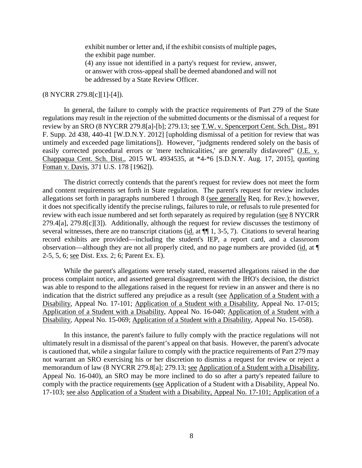exhibit number or letter and, if the exhibit consists of multiple pages, the exhibit page number.

(4) any issue not identified in a party's request for review, answer, or answer with cross-appeal shall be deemed abandoned and will not be addressed by a State Review Officer.

#### (8 NYCRR 279.8[c][1]-[4]).

In general, the failure to comply with the practice requirements of Part 279 of the State regulations may result in the rejection of the submitted documents or the dismissal of a request for review by an SRO (8 NYCRR 279.8[a]-[b]; 279.13; <u>see T.W. v. Spencerport Cent. Sch. Dist.</u>, 891 F. Supp. 2d 438, 440-41 [W.D.N.Y. 2012] [upholding dismissal of a petition for review that was untimely and exceeded page limitations]). However, "judgments rendered solely on the basis of easily corrected procedural errors or 'mere technicalities,' are generally disfavored" (J.E. v. Chappaqua Cent. Sch. Dist., 2015 WL 4934535, at \*4-\*6 [S.D.N.Y. Aug. 17, 2015], quoting Foman v. Davis, 371 U.S. 178 [1962]).

The district correctly contends that the parent's request for review does not meet the form and content requirements set forth in State regulation. The parent's request for review includes allegations set forth in paragraphs numbered 1 through 8 (see generally Req. for Rev.); however, it does not specifically identify the precise rulings, failures to rule, or refusals to rule presented for review with each issue numbered and set forth separately as required by regulation (see 8 NYCRR 279.4[a], 279.8[c][3]). Additionally, although the request for review discusses the testimony of several witnesses, there are no transcript citations (id. at  $\P$  1, 3-5, 7). Citations to several hearing record exhibits are provided—including the student's IEP, a report card, and a classroom observation—although they are not all properly cited, and no page numbers are provided (id. at ¶ 2-5, 5, 6; see Dist. Exs. 2; 6; Parent Ex. E).

While the parent's allegations were tersely stated, reasserted allegations raised in the due process complaint notice, and asserted general disagreement with the IHO's decision, the district was able to respond to the allegations raised in the request for review in an answer and there is no indication that the district suffered any prejudice as a result (see Application of a Student with a Disability, Appeal No. 17-101; Application of a Student with a Disability, Appeal No. 17-015; Application of a Student with a Disability, Appeal No. 16-040; Application of a Student with a Disability, Appeal No. 15-069; Application of a Student with a Disability, Appeal No. 15-058).

In this instance, the parent's failure to fully comply with the practice regulations will not ultimately result in a dismissal of the parent's appeal on that basis. However, the parent's advocate is cautioned that, while a singular failure to comply with the practice requirements of Part 279 may not warrant an SRO exercising his or her discretion to dismiss a request for review or reject a memorandum of law (8 NYCRR 279.8[a]; 279.13; see Application of a Student with a Disability, Appeal No. 16-040), an SRO may be more inclined to do so after a party's repeated failure to comply with the practice requirements (see Application of a Student with a Disability, Appeal No. 17-103; see also Application of a Student with a Disability, Appeal No. 17-101; Application of a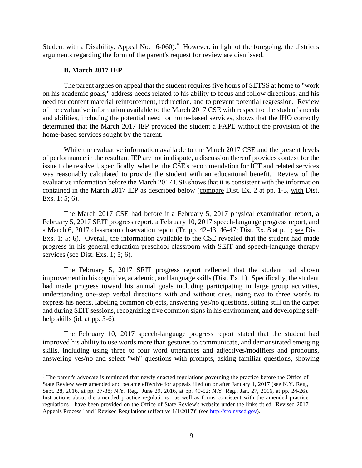Student with a Disability, Appeal No. 16-060).<sup>[5](#page-8-0)</sup> However, in light of the foregoing, the district's arguments regarding the form of the parent's request for review are dismissed.

#### **B. March 2017 IEP**

The parent argues on appeal that the student requires five hours of SETSS at home to "work on his academic goals," address needs related to his ability to focus and follow directions, and his need for content material reinforcement, redirection, and to prevent potential regression. Review of the evaluative information available to the March 2017 CSE with respect to the student's needs and abilities, including the potential need for home-based services, shows that the IHO correctly determined that the March 2017 IEP provided the student a FAPE without the provision of the home-based services sought by the parent.

While the evaluative information available to the March 2017 CSE and the present levels of performance in the resultant IEP are not in dispute, a discussion thereof provides context for the issue to be resolved, specifically, whether the CSE's recommendation for ICT and related services was reasonably calculated to provide the student with an educational benefit. Review of the evaluative information before the March 2017 CSE shows that it is consistent with the information contained in the March 2017 IEP as described below (compare Dist. Ex. 2 at pp. 1-3, with Dist. Exs. 1; 5; 6).

The March 2017 CSE had before it a February 5, 2017 physical examination report, a February 5, 2017 SEIT progress report, a February 10, 2017 speech-language progress report, and a March 6, 2017 classroom observation report (Tr. pp. 42-43, 46-47; Dist. Ex. 8 at p. 1; see Dist. Exs. 1; 5; 6). Overall, the information available to the CSE revealed that the student had made progress in his general education preschool classroom with SEIT and speech-language therapy services (see Dist. Exs. 1; 5; 6).

The February 5, 2017 SEIT progress report reflected that the student had shown improvement in his cognitive, academic, and language skills (Dist. Ex. 1). Specifically, the student had made progress toward his annual goals including participating in large group activities, understanding one-step verbal directions with and without cues, using two to three words to express his needs, labeling common objects, answering yes/no questions, sitting still on the carpet and during SEIT sessions, recognizing five common signs in his environment, and developing selfhelp skills (id. at pp. 3-6).

The February 10, 2017 speech-language progress report stated that the student had improved his ability to use words more than gestures to communicate, and demonstrated emerging skills, including using three to four word utterances and adjectives/modifiers and pronouns, answering yes/no and select "wh" questions with prompts, asking familiar questions, showing

<span id="page-8-0"></span><sup>&</sup>lt;sup>5</sup> The parent's advocate is reminded that newly enacted regulations governing the practice before the Office of State Review were amended and became effective for appeals filed on or after January 1, 2017 (see N.Y. Reg., Sept. 28, 2016, at pp. 37-38; N.Y. Reg., June 29, 2016, at pp. 49-52; N.Y. Reg., Jan. 27, 2016, at pp. 24-26). Instructions about the amended practice regulations—as well as forms consistent with the amended practice regulations—have been provided on the Office of State Review's website under the links titled "Revised 2017 Appeals Process" and "Revised Regulations (effective 1/1/2017)" (see [http://sro.nysed.gov\)](http://sro.nysed.gov/).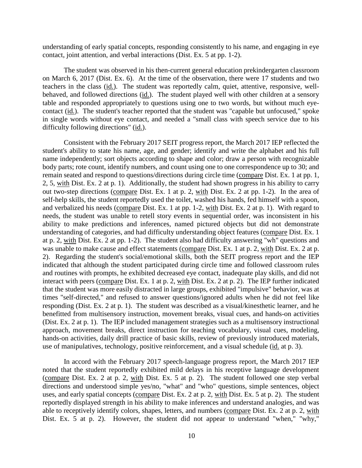understanding of early spatial concepts, responding consistently to his name, and engaging in eye contact, joint attention, and verbal interactions (Dist. Ex. 5 at pp. 1-2).

The student was observed in his then-current general education prekindergarten classroom on March 6, 2017 (Dist. Ex. 6). At the time of the observation, there were 17 students and two teachers in the class (id.). The student was reportedly calm, quiet, attentive, responsive, wellbehaved, and followed directions (id.). The student played well with other children at a sensory table and responded appropriately to questions using one to two words, but without much eyecontact (id.). The student's teacher reported that the student was "capable but unfocused," spoke in single words without eye contact, and needed a "small class with speech service due to his difficulty following directions" (id.).

Consistent with the February 2017 SEIT progress report, the March 2017 IEP reflected the student's ability to state his name, age, and gender; identify and write the alphabet and his full name independently; sort objects according to shape and color; draw a person with recognizable body parts; rote count, identify numbers, and count using one to one correspondence up to 30; and remain seated and respond to questions/directions during circle time (compare Dist. Ex. 1 at pp. 1, 2, 5, with Dist. Ex. 2 at p. 1). Additionally, the student had shown progress in his ability to carry out two-step directions (compare Dist. Ex. 1 at p. 2, with Dist. Ex. 2 at pp. 1-2). In the area of self-help skills, the student reportedly used the toilet, washed his hands, fed himself with a spoon, and verbalized his needs (compare Dist. Ex. 1 at pp. 1-2, with Dist. Ex. 2 at p. 1). With regard to needs, the student was unable to retell story events in sequential order, was inconsistent in his ability to make predictions and inferences, named pictured objects but did not demonstrate understanding of categories, and had difficulty understanding object features (compare Dist. Ex. 1 at p. 2, with Dist. Ex. 2 at pp. 1-2). The student also had difficulty answering "wh" questions and was unable to make cause and effect statements (compare Dist. Ex. 1 at p. 2, with Dist. Ex. 2 at p. 2). Regarding the student's social/emotional skills, both the SEIT progress report and the IEP indicated that although the student participated during circle time and followed classroom rules and routines with prompts, he exhibited decreased eye contact, inadequate play skills, and did not interact with peers (compare Dist. Ex. 1 at p. 2, with Dist. Ex. 2 at p. 2). The IEP further indicated that the student was more easily distracted in large groups, exhibited "impulsive" behavior, was at times "self-directed," and refused to answer questions/ignored adults when he did not feel like responding (Dist. Ex. 2 at p. 1). The student was described as a visual/kinesthetic learner, and he benefitted from multisensory instruction, movement breaks, visual cues, and hands-on activities (Dist. Ex. 2 at p. 1). The IEP included management strategies such as a multisensory instructional approach, movement breaks, direct instruction for teaching vocabulary, visual cues, modeling, hands-on activities, daily drill practice of basic skills, review of previously introduced materials, use of manipulatives, technology, positive reinforcement, and a visual schedule (id. at p. 3).

In accord with the February 2017 speech-language progress report, the March 2017 IEP noted that the student reportedly exhibited mild delays in his receptive language development (compare Dist. Ex. 2 at p. 2, with Dist. Ex. 5 at p. 2). The student followed one step verbal directions and understood simple yes/no, "what" and "who" questions, simple sentences, object uses, and early spatial concepts (compare Dist. Ex. 2 at p. 2, with Dist. Ex. 5 at p. 2). The student reportedly displayed strength in his ability to make inferences and understand analogies, and was able to receptively identify colors, shapes, letters, and numbers (compare Dist. Ex. 2 at p. 2, with Dist. Ex. 5 at p. 2). However, the student did not appear to understand "when," "why,"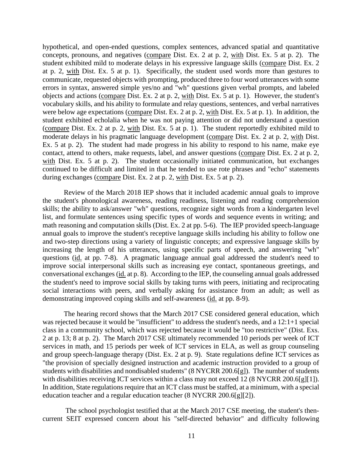hypothetical, and open-ended questions, complex sentences, advanced spatial and quantitative concepts, pronouns, and negatives (compare Dist. Ex. 2 at p. 2, with Dist. Ex. 5 at p. 2). The student exhibited mild to moderate delays in his expressive language skills (compare Dist. Ex. 2 at p. 2, with Dist. Ex. 5 at p. 1). Specifically, the student used words more than gestures to communicate, requested objects with prompting, produced three to four word utterances with some errors in syntax, answered simple yes/no and "wh" questions given verbal prompts, and labeled objects and actions (compare Dist. Ex. 2 at p. 2, with Dist. Ex. 5 at p. 1). However, the student's vocabulary skills, and his ability to formulate and relay questions, sentences, and verbal narratives were below age expectations (compare Dist. Ex. 2 at p. 2, with Dist. Ex. 5 at p. 1). In addition, the student exhibited echolalia when he was not paying attention or did not understand a question (compare Dist. Ex. 2 at p. 2, with Dist. Ex. 5 at p. 1). The student reportedly exhibited mild to moderate delays in his pragmatic language development (compare Dist. Ex. 2 at p. 2, with Dist. Ex. 5 at p. 2). The student had made progress in his ability to respond to his name, make eye contact, attend to others, make requests, label, and answer questions (compare Dist. Ex. 2 at p. 2, with Dist. Ex. 5 at p. 2). The student occasionally initiated communication, but exchanges continued to be difficult and limited in that he tended to use rote phrases and "echo" statements during exchanges (compare Dist. Ex. 2 at p. 2, with Dist. Ex. 5 at p. 2).

Review of the March 2018 IEP shows that it included academic annual goals to improve the student's phonological awareness, reading readiness, listening and reading comprehension skills; the ability to ask/answer "wh" questions, recognize sight words from a kindergarten level list, and formulate sentences using specific types of words and sequence events in writing; and math reasoning and computation skills (Dist. Ex. 2 at pp. 5-6). The IEP provided speech-language annual goals to improve the student's receptive language skills including his ability to follow one and two-step directions using a variety of linguistic concepts; and expressive language skills by increasing the length of his utterances, using specific parts of speech, and answering "wh" questions (id. at pp. 7-8). A pragmatic language annual goal addressed the student's need to improve social interpersonal skills such as increasing eye contact, spontaneous greetings, and conversational exchanges (id. at p. 8). According to the IEP, the counseling annual goals addressed the student's need to improve social skills by taking turns with peers, initiating and reciprocating social interactions with peers, and verbally asking for assistance from an adult; as well as demonstrating improved coping skills and self-awareness (id. at pp. 8-9).

The hearing record shows that the March 2017 CSE considered general education, which was rejected because it would be "insufficient" to address the student's needs, and a 12:1+1 special class in a community school, which was rejected because it would be "too restrictive" (Dist. Exs. 2 at p. 13; 8 at p. 2). The March 2017 CSE ultimately recommended 10 periods per week of ICT services in math, and 15 periods per week of ICT services in ELA, as well as group counseling and group speech-language therapy (Dist. Ex. 2 at p. 9). State regulations define ICT services as "the provision of specially designed instruction and academic instruction provided to a group of students with disabilities and nondisabled students" (8 NYCRR 200.6[g]). The number of students with disabilities receiving ICT services within a class may not exceed 12 (8 NYCRR 200.6[g][1]). In addition, State regulations require that an ICT class must be staffed, at a minimum, with a special education teacher and a regular education teacher (8 NYCRR 200.6[g][2]).

The school psychologist testified that at the March 2017 CSE meeting, the student's thencurrent SEIT expressed concern about his "self-directed behavior" and difficulty following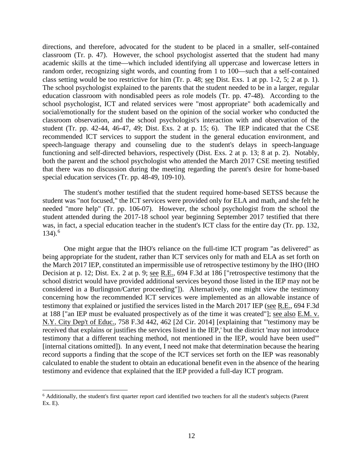directions, and therefore, advocated for the student to be placed in a smaller, self-contained classroom (Tr. p. 47). However, the school psychologist asserted that the student had many academic skills at the time—which included identifying all uppercase and lowercase letters in random order, recognizing sight words, and counting from 1 to 100—such that a self-contained class setting would be too restrictive for him (Tr. p. 48; see Dist. Exs. 1 at pp. 1-2, 5; 2 at p. 1). The school psychologist explained to the parents that the student needed to be in a larger, regular education classroom with nondisabled peers as role models (Tr. pp. 47-48). According to the school psychologist, ICT and related services were "most appropriate" both academically and social/emotionally for the student based on the opinion of the social worker who conducted the classroom observation, and the school psychologist's interaction with and observation of the student (Tr. pp. 42-44, 46-47, 49; Dist. Exs. 2 at p. 15; 6). The IEP indicated that the CSE recommended ICT services to support the student in the general education environment, and speech-language therapy and counseling due to the student's delays in speech-language functioning and self-directed behaviors, respectively (Dist. Exs. 2 at p. 13; 8 at p. 2). Notably, both the parent and the school psychologist who attended the March 2017 CSE meeting testified that there was no discussion during the meeting regarding the parent's desire for home-based special education services (Tr. pp. 48-49, 109-10).

The student's mother testified that the student required home-based SETSS because the student was "not focused," the ICT services were provided only for ELA and math, and she felt he needed "more help" (Tr. pp. 106-07). However, the school psychologist from the school the student attended during the 2017-18 school year beginning September 2017 testified that there was, in fact, a special education teacher in the student's ICT class for the entire day (Tr. pp. 132, 134). [6](#page-11-0)

One might argue that the IHO's reliance on the full-time ICT program "as delivered" as being appropriate for the student, rather than ICT services only for math and ELA as set forth on the March 2017 IEP, constituted an impermissible use of retrospective testimony by the IHO (IHO Decision at p. 12; Dist. Ex. 2 at p. 9; see R.E., 694 F.3d at 186 ["retrospective testimony that the school district would have provided additional services beyond those listed in the IEP may not be considered in a Burlington/Carter proceeding"]). Alternatively, one might view the testimony concerning how the recommended ICT services were implemented as an allowable instance of testimony that explained or justified the services listed in the March 2017 IEP (see R.E., 694 F.3d at 188 ["an IEP must be evaluated prospectively as of the time it was created"]; see also E.M. v. N.Y. City Dep't of Educ., 758 F.3d 442, 462 [2d Cir. 2014] [explaining that "'testimony may be received that explains or justifies the services listed in the IEP,' but the district 'may not introduce testimony that a different teaching method, not mentioned in the IEP, would have been used'" [internal citations omitted]). In any event, I need not make that determination because the hearing record supports a finding that the scope of the ICT services set forth on the IEP was reasonably calculated to enable the student to obtain an educational benefit even in the absence of the hearing testimony and evidence that explained that the IEP provided a full-day ICT program.

<span id="page-11-0"></span> <sup>6</sup> Additionally, the student's first quarter report card identified two teachers for all the student's subjects (Parent Ex. E).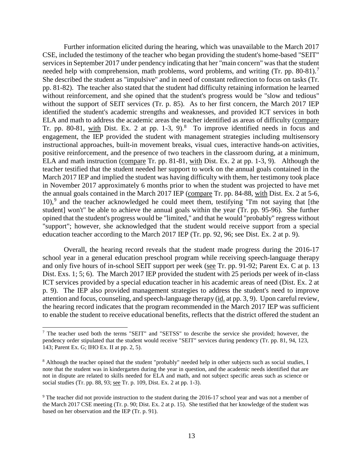Further information elicited during the hearing, which was unavailable to the March 2017 CSE, included the testimony of the teacher who began providing the student's home-based "SEIT" services in September 2017 under pendency indicating that her "main concern" was that the student needed help with comprehension, math problems, word problems, and writing (Tr. pp. 80-81).<sup>[7](#page-12-0)</sup> She described the student as "impulsive" and in need of constant redirection to focus on tasks (Tr. pp. 81-82). The teacher also stated that the student had difficulty retaining information he learned without reinforcement, and she opined that the student's progress would be "slow and tedious" without the support of SEIT services (Tr. p. 85). As to her first concern, the March 2017 IEP identified the student's academic strengths and weaknesses, and provided ICT services in both ELA and math to address the academic areas the teacher identified as areas of difficulty (compare Tr. pp. [8](#page-12-1)0-81, with Dist. Ex. 2 at pp. 1-3, 9). $8$  To improve identified needs in focus and engagement, the IEP provided the student with management strategies including multisensory instructional approaches, built-in movement breaks, visual cues, interactive hands-on activities, positive reinforcement, and the presence of two teachers in the classroom during, at a minimum, ELA and math instruction (compare Tr. pp. 81-81, with Dist. Ex. 2 at pp. 1-3, 9). Although the teacher testified that the student needed her support to work on the annual goals contained in the March 2017 IEP and implied the student was having difficulty with them, her testimony took place in November 2017 approximately 6 months prior to when the student was projected to have met the annual goals contained in the March 2017 IEP (compare Tr. pp. 84-88, with Dist. Ex. 2 at 5-6, 10), [9](#page-12-2) and the teacher acknowledged he could meet them, testifying "I'm not saying that [the student] won't" be able to achieve the annual goals within the year (Tr. pp. 95-96). She further opined that the student's progress would be "limited," and that he would "probably" regress without "support"; however, she acknowledged that the student would receive support from a special education teacher according to the March 2017 IEP (Tr. pp. 92, 96; see Dist. Ex. 2 at p. 9).

Overall, the hearing record reveals that the student made progress during the 2016-17 school year in a general education preschool program while receiving speech-language therapy and only five hours of in-school SEIT support per week (see Tr. pp. 91-92; Parent Ex. C at p. 13 Dist. Exs. 1; 5; 6). The March 2017 IEP provided the student with 25 periods per week of in-class ICT services provided by a special education teacher in his academic areas of need (Dist. Ex. 2 at p. 9). The IEP also provided management strategies to address the student's need to improve attention and focus, counseling, and speech-language therapy (id. at pp. 3, 9). Upon careful review, the hearing record indicates that the program recommended in the March 2017 IEP was sufficient to enable the student to receive educational benefits, reflects that the district offered the student an

<span id="page-12-0"></span> <sup>7</sup> The teacher used both the terms "SEIT" and "SETSS" to describe the service she provided; however, the pendency order stipulated that the student would receive "SEIT" services during pendency (Tr. pp. 81, 94, 123, 143; Parent Ex. G; IHO Ex. II at pp. 2, 5).

<span id="page-12-1"></span><sup>8</sup> Although the teacher opined that the student "probably" needed help in other subjects such as social studies, I note that the student was in kindergarten during the year in question, and the academic needs identified that are not in dispute are related to skills needed for ELA and math, and not subject specific areas such as science or social studies (Tr. pp. 88, 93; see Tr. p. 109, Dist. Ex. 2 at pp. 1-3).

<span id="page-12-2"></span><sup>&</sup>lt;sup>9</sup> The teacher did not provide instruction to the student during the 2016-17 school year and was not a member of the March 2017 CSE meeting (Tr. p. 90; Dist. Ex. 2 at p. 15). She testified that her knowledge of the student was based on her observation and the IEP (Tr. p. 91).